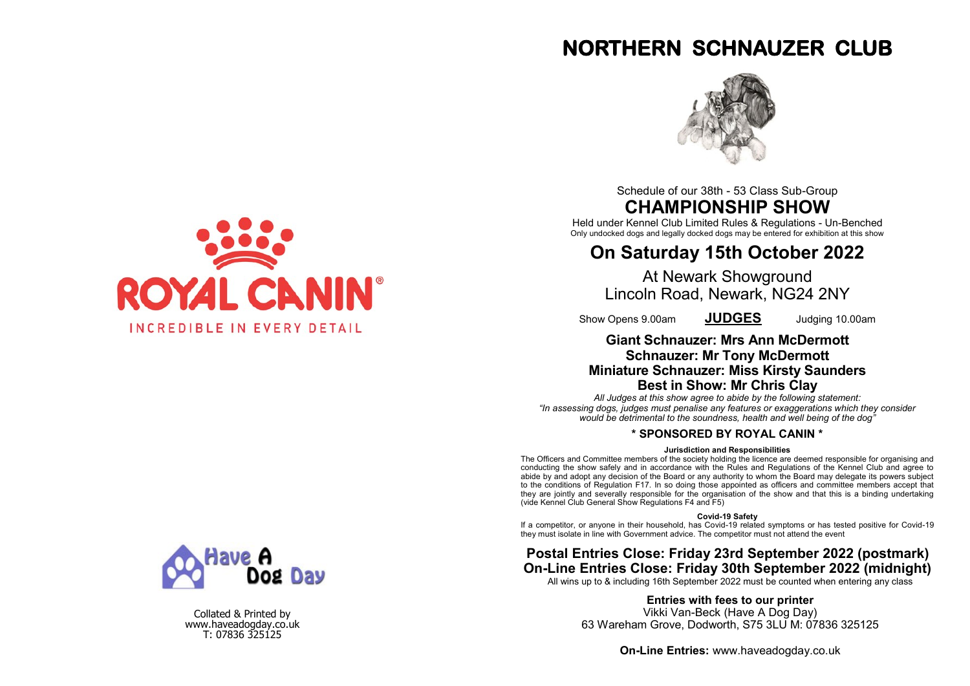# **NORTHERN SCHNAUZER CLUB**



Schedule of our 38th - 53 Class Sub-Group **CHAMPIONSHIP SHOW**

Held under Kennel Club Limited Rules & Regulations - Un-Benched Only undocked dogs and legally docked dogs may be entered for exhibition at this show

## **On Saturday 15th October 2022**

At Newark Showground Lincoln Road, Newark, NG24 2NY

Show Opens 9.00am **JUDGES** Judging 10.00am

## **Giant Schnauzer: Mrs Ann McDermott Schnauzer: Mr Tony McDermott Miniature Schnauzer: Miss Kirsty Saunders Best in Show: Mr Chris Clay**

*All Judges at this show agree to abide by the following statement: "In assessing dogs, judges must penalise any features or exaggerations which they consider would be detrimental to the soundness, health and well being of the dog"*

## **\* SPONSORED BY ROYAL CANIN \***

#### **Jurisdiction and Responsibilities**

The Officers and Committee members of the society holding the licence are deemed responsible for organising and conducting the show safely and in accordance with the Rules and Regulations of the Kennel Club and agree to abide by and adopt any decision of the Board or any authority to whom the Board may delegate its powers subject to the conditions of Regulation F17. In so doing those appointed as officers and committee members accept that they are jointly and severally responsible for the organisation of the show and that this is a binding undertaking (vide Kennel Club General Show Regulations F4 and F5)

#### **Covid-19 Safety**

If a competitor, or anyone in their household, has Covid-19 related symptoms or has tested positive for Covid-19 they must isolate in line with Government advice. The competitor must not attend the event

## **Postal Entries Close: Friday 23rd September 2022 (postmark) On-Line Entries Close: Friday 30th September 2022 (midnight)**

All wins up to & including 16th September 2022 must be counted when entering any class

**Entries with fees to our printer**

Vikki Van-Beck (Have A Dog Day) 63 Wareham Grove, Dodworth, S75 3LU M: 07836 325125

**On-Line Entries:** www.haveadogday.co.uk





Collated & Printed by www.haveadogday.co.uk T: 07836 325125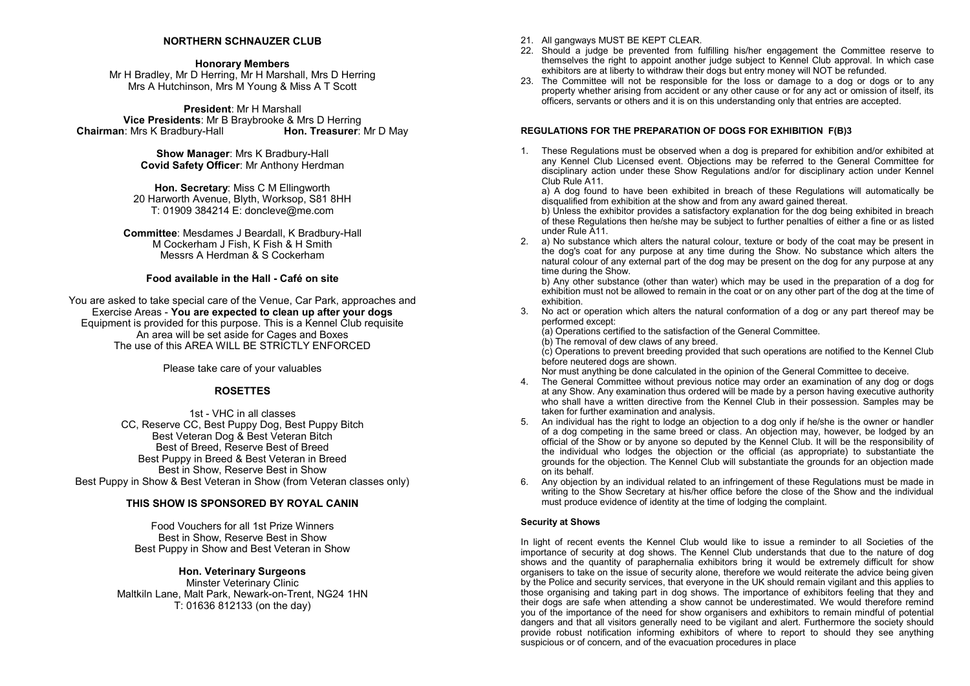### **NORTHERN SCHNAUZER CLUB**

**Honorary Members**

Mr H Bradley, Mr D Herring, Mr H Marshall, Mrs D Herring Mrs A Hutchinson, Mrs M Young & Miss A T Scott

**President**: Mr H Marshall **Vice Presidents**: Mr B Braybrooke & Mrs D Herring **Chairman: Mrs K Bradbury-Hall** 

> **Show Manager**: Mrs K Bradbury-Hall **Covid Safety Officer**: Mr Anthony Herdman

**Hon. Secretary**: Miss C M Ellingworth 20 Harworth Avenue, Blyth, Worksop, S81 8HH T: 01909 384214 E: doncleve@me.com

**Committee**: Mesdames J Beardall, K Bradbury-Hall M Cockerham J Fish, K Fish & H Smith Messrs A Herdman & S Cockerham

### **Food available in the Hall - Café on site**

You are asked to take special care of the Venue, Car Park, approaches and Exercise Areas - **You are expected to clean up after your dogs** Equipment is provided for this purpose. This is a Kennel Club requisite An area will be set aside for Cages and Boxes The use of this AREA WILL BE STRICTLY ENFORCED.

Please take care of your valuables

## **ROSETTES**

1st - VHC in all classes CC, Reserve CC, Best Puppy Dog, Best Puppy Bitch Best Veteran Dog & Best Veteran Bitch Best of Breed, Reserve Best of Breed Best Puppy in Breed & Best Veteran in Breed Best in Show, Reserve Best in Show Best Puppy in Show & Best Veteran in Show (from Veteran classes only)

### **THIS SHOW IS SPONSORED BY ROYAL CANIN**

Food Vouchers for all 1st Prize Winners Best in Show, Reserve Best in Show Best Puppy in Show and Best Veteran in Show

### **Hon. Veterinary Surgeons**

Minster Veterinary Clinic Maltkiln Lane, Malt Park, Newark-on-Trent, NG24 1HN T: 01636 812133 (on the day)

- 21. All gangways MUST BE KEPT CLEAR.
- 22. Should a judge be prevented from fulfilling his/her engagement the Committee reserve to themselves the right to appoint another judge subject to Kennel Club approval. In which case exhibitors are at liberty to withdraw their dogs but entry money will NOT be refunded.
- 23. The Committee will not be responsible for the loss or damage to a dog or dogs or to any property whether arising from accident or any other cause or for any act or omission of itself, its officers, servants or others and it is on this understanding only that entries are accepted.

#### **REGULATIONS FOR THE PREPARATION OF DOGS FOR EXHIBITION F(B)3**

1. These Regulations must be observed when a dog is prepared for exhibition and/or exhibited at any Kennel Club Licensed event. Objections may be referred to the General Committee for disciplinary action under these Show Regulations and/or for disciplinary action under Kennel Club Rule A11.

a) A dog found to have been exhibited in breach of these Regulations will automatically be disqualified from exhibition at the show and from any award gained thereat.

b) Unless the exhibitor provides a satisfactory explanation for the dog being exhibited in breach of these Regulations then he/she may be subject to further penalties of either a fine or as listed under Rule A11.

2. a) No substance which alters the natural colour, texture or body of the coat may be present in the dog's coat for any purpose at any time during the Show. No substance which alters the natural colour of any external part of the dog may be present on the dog for any purpose at any time during the Show.

b) Any other substance (other than water) which may be used in the preparation of a dog for exhibition must not be allowed to remain in the coat or on any other part of the dog at the time of exhibition.

3. No act or operation which alters the natural conformation of a dog or any part thereof may be performed except:

(a) Operations certified to the satisfaction of the General Committee.

(b) The removal of dew claws of any breed.

 $(c)$  Operations to prevent breeding provided that such operations are notified to the Kennel Club before neutered dogs are shown

Nor must anything be done calculated in the opinion of the General Committee to deceive.

- 4. The General Committee without previous notice may order an examination of any dog or dogs at any Show. Any examination thus ordered will be made by a person having executive authority who shall have a written directive from the Kennel Club in their possession. Samples may be taken for further examination and analysis.
- 5. An individual has the right to lodge an objection to a dog only if he/she is the owner or handler of a dog competing in the same breed or class. An objection may, however, be lodged by an official of the Show or by anyone so deputed by the Kennel Club. It will be the responsibility of the individual who lodges the objection or the official (as appropriate) to substantiate the grounds for the objection. The Kennel Club will substantiate the grounds for an objection made on its behalf.
- 6. Any objection by an individual related to an infringement of these Regulations must be made in writing to the Show Secretary at his/her office before the close of the Show and the individual must produce evidence of identity at the time of lodging the complaint.

#### **Security at Shows**

In light of recent events the Kennel Club would like to issue a reminder to all Societies of the importance of security at dog shows. The Kennel Club understands that due to the nature of dog shows and the quantity of paraphernalia exhibitors bring it would be extremely difficult for show organisers to take on the issue of security alone, therefore we would reiterate the advice being given by the Police and security services, that everyone in the UK should remain vigilant and this applies to those organising and taking part in dog shows. The importance of exhibitors feeling that they and their dogs are safe when attending a show cannot be underestimated. We would therefore remind you of the importance of the need for show organisers and exhibitors to remain mindful of potential dangers and that all visitors generally need to be vigilant and alert. Furthermore the society should provide robust notification informing exhibitors of where to report to should they see anything suspicious or of concern, and of the evacuation procedures in place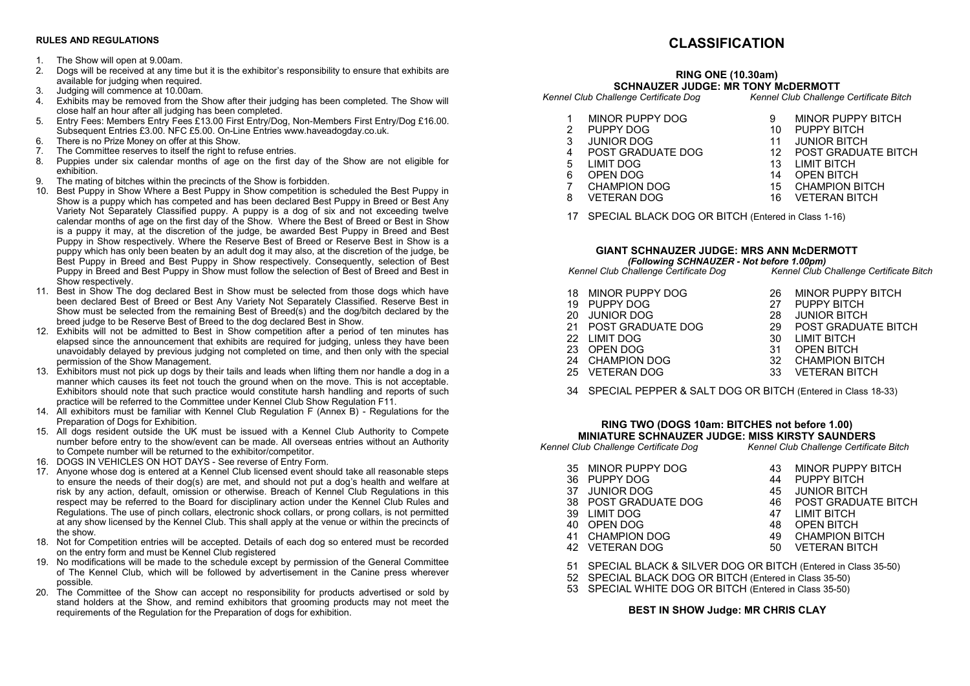#### **RULES AND REGULATIONS**

- 1. The Show will open at 9.00am.
- 2. Dogs will be received at any time but it is the exhibitor's responsibility to ensure that exhibits are available for judging when required.
- 3. Judging will commence at 10.00am.
- 4. Exhibits may be removed from the Show after their judging has been completed. The Show will close half an hour after all judging has been completed.
- 5. Entry Fees: Members Entry Fees £13.00 First Entry/Dog, Non-Members First Entry/Dog £16.00. Subsequent Entries £3.00. NFC £5.00. On-Line Entries www.haveadogday.co.uk.
- 6. There is no Prize Money on offer at this Show.
- 7. The Committee reserves to itself the right to refuse entries.<br>8. Puppies under six calendar months of age on the first of
- Puppies under six calendar months of age on the first day of the Show are not eligible for exhibition.
- 9. The mating of bitches within the precincts of the Show is forbidden.
- 10. Best Puppy in Show Where a Best Puppy in Show competition is scheduled the Best Puppy in Show is a puppy which has competed and has been declared Best Puppy in Breed or Best Any Variety Not Separately Classified puppy. A puppy is a dog of six and not exceeding twelve calendar months of age on the first day of the Show. Where the Best of Breed or Best in Show is a puppy it may, at the discretion of the judge, be awarded Best Puppy in Breed and Best Puppy in Show respectively. Where the Reserve Best of Breed or Reserve Best in Show is a puppy which has only been beaten by an adult dog it may also, at the discretion of the judge, be Best Puppy in Breed and Best Puppy in Show respectively. Consequently, selection of Best Puppy in Breed and Best Puppy in Show must follow the selection of Best of Breed and Best in Show respectively.
- 11. Best in Show The dog declared Best in Show must be selected from those dogs which have been declared Best of Breed or Best Any Variety Not Separately Classified. Reserve Best in Show must be selected from the remaining Best of Breed(s) and the dog/bitch declared by the breed judge to be Reserve Best of Breed to the dog declared Best in Show.
- 12. Exhibits will not be admitted to Best in Show competition after a period of ten minutes has elapsed since the announcement that exhibits are required for judging, unless they have been unavoidably delayed by previous judging not completed on time, and then only with the special permission of the Show Management.
- 13. Exhibitors must not pick up dogs by their tails and leads when lifting them nor handle a dog in a manner which causes its feet not touch the ground when on the move. This is not acceptable. Exhibitors should note that such practice would constitute harsh handling and reports of such practice will be referred to the Committee under Kennel Club Show Regulation F11.
- 14. All exhibitors must be familiar with Kennel Club Regulation F (Annex B) Regulations for the Preparation of Dogs for Exhibition.
- 15. All dogs resident outside the UK must be issued with a Kennel Club Authority to Compete number before entry to the show/event can be made. All overseas entries without an Authority to Compete number will be returned to the exhibitor/competitor.
- 16. DOGS IN VEHICLES ON HOT DAYS See reverse of Entry Form.
- 17. Anyone whose dog is entered at a Kennel Club licensed event should take all reasonable steps to ensure the needs of their dog(s) are met, and should not put a dog's health and welfare at risk by any action, default, omission or otherwise. Breach of Kennel Club Regulations in this respect may be referred to the Board for disciplinary action under the Kennel Club Rules and Regulations. The use of pinch collars, electronic shock collars, or prong collars, is not permitted at any show licensed by the Kennel Club. This shall apply at the venue or within the precincts of the show.
- 18. Not for Competition entries will be accepted. Details of each dog so entered must be recorded on the entry form and must be Kennel Club registered
- 19. No modifications will be made to the schedule except by permission of the General Committee of The Kennel Club, which will be followed by advertisement in the Canine press wherever possible.
- 20. The Committee of the Show can accept no responsibility for products advertised or sold by stand holders at the Show, and remind exhibitors that grooming products may not meet the requirements of the Regulation for the Preparation of dogs for exhibition.

## **CLASSIFICATION**

#### **RING ONE (10.30am) SCHNAUZER JUDGE: MR TONY MCDERMOTT**<br>Kennel Club Challenge Certificate Dog Kennel Club Challenge *Kennel Club Challenge Certificate Dog Kennel Club Challenge Certificate Bitch*

- 
- 
- 1 MINOR PUPPY DOG 9 MINOR PUPPY BITCH<br>2 PUPPY DOG 9 10 PUPPY BITCH
- 2 PUPPY DOG 10 PUPPY BITCH<br>3 JUNIOR DOG 11 JUNIOR BITCH
- 3 JUNIOR DOG 11 JUNIOR BITCH<br>4 POST GRADUATE DOG 12 POST GRADUA
- 
- 
- 
- -
- POST GRADUATE DOG 12 POST GRADUATE BITCH<br>13 I IMIT BITCH
- 5 LIMIT DOG 13 LIMIT BITCH<br>6 OPEN DOG 14 OPEN BITCH
	-
- 7 CHAMPION DOG 15 CHAMPION BITCH<br>8 VETERAN DOG 16 VETERAN BITCH
	- **VETERAN BITCH**
- 17 SPECIAL BLACK DOG OR BITCH (Entered in Class 1-16)

## **GIANT SCHNAUZER JUDGE: MRS ANN McDERMOTT**  *(Following SCHNAUZER - Not before 1.00pm)*

*Kennel Club Challenge Certificate Dog Kennel Club Challenge Certificate Bitch*

| 18 MINOR PUPPY DOG                                                                                                                                                                                                                                                                                                                                                                   | 26 MINOR PUPPY BITCH     |
|--------------------------------------------------------------------------------------------------------------------------------------------------------------------------------------------------------------------------------------------------------------------------------------------------------------------------------------------------------------------------------------|--------------------------|
| 19 PUPPY DOG                                                                                                                                                                                                                                                                                                                                                                         | 27 PUPPY BITCH           |
| 20 JUNIOR DOG                                                                                                                                                                                                                                                                                                                                                                        | 28 JUNIOR BITCH          |
| 21 POST GRADUATE DOG                                                                                                                                                                                                                                                                                                                                                                 | 29 POST GRADUATE BITCH   |
| 22 LIMIT DOG                                                                                                                                                                                                                                                                                                                                                                         | 30 LIMIT BITCH           |
| 23 OPEN DOG                                                                                                                                                                                                                                                                                                                                                                          | 31 OPEN BITCH            |
| 24 CHAMPION DOG                                                                                                                                                                                                                                                                                                                                                                      | 32 CHAMPION BITCH        |
| $\overline{a}$ $\overline{b}$ $\overline{c}$ $\overline{c}$ $\overline{c}$ $\overline{c}$ $\overline{c}$ $\overline{c}$ $\overline{c}$ $\overline{c}$ $\overline{c}$ $\overline{c}$ $\overline{c}$ $\overline{c}$ $\overline{c}$ $\overline{c}$ $\overline{c}$ $\overline{c}$ $\overline{c}$ $\overline{c}$ $\overline{c}$ $\overline{c}$ $\overline{c}$ $\overline{c}$ $\overline{$ | $1/TTTT$ $11 TTT$ $11 T$ |

25 VETERAN DOG 33 VETERAN BITCH

34 SPECIAL PEPPER & SALT DOG OR BITCH (Entered in Class 18-33)

## **RING TWO (DOGS 10am: BITCHES not before 1.00) MINIATURE SCHNAUZER JUDGE: MISS KIRSTY SAUNDERS**<br>Club Challenge Certificate Dog **Kennel Club Challenge Certificate Bitch**

*Kennel Club Challenge Certificate Dog Kennel Club Challenge Certificate Bitch*

- 
- 35 MINOR PUPPY DOG 43 MINOR PUPPY BITCH<br>36 PUPPY DOG 44 PUPPY BITCH
- 36 PUPPY DOG 44 PUPPY BITCH
	-
- 37 JUNIOR DOG 45 JUNIOR BITCH 38 POST GRADUATE DOG 46 POST GRAD<br>39 LIMIT DOG 47 LIMIT BITCH
- 39 LIMIT DOG 47 LIMIT BITCH
- 40 OPEN DOG 48 OPEN BITCH<br>41 CHAMPION DOG 49 CHAMPION BITCH
- 
- 42 VETERAN DOG
- 41 CHAMPION DOG 49 CHAMPION BITCH<br>42 VETERAN DOG 50 VETERAN BITCH
- 51 SPECIAL BLACK & SILVER DOG OR BITCH (Entered in Class 35-50)
- 52 SPECIAL BLACK DOG OR BITCH (Entered in Class 35-50)
- 53 SPECIAL WHITE DOG OR BITCH (Entered in Class 35-50)

## **BEST IN SHOW Judge: MR CHRIS CLAY**

- 
- 
- 6 OPEN DOG 14 OPEN BITCH<br>7 CHAMPION DOG 15 CHAMPION F
-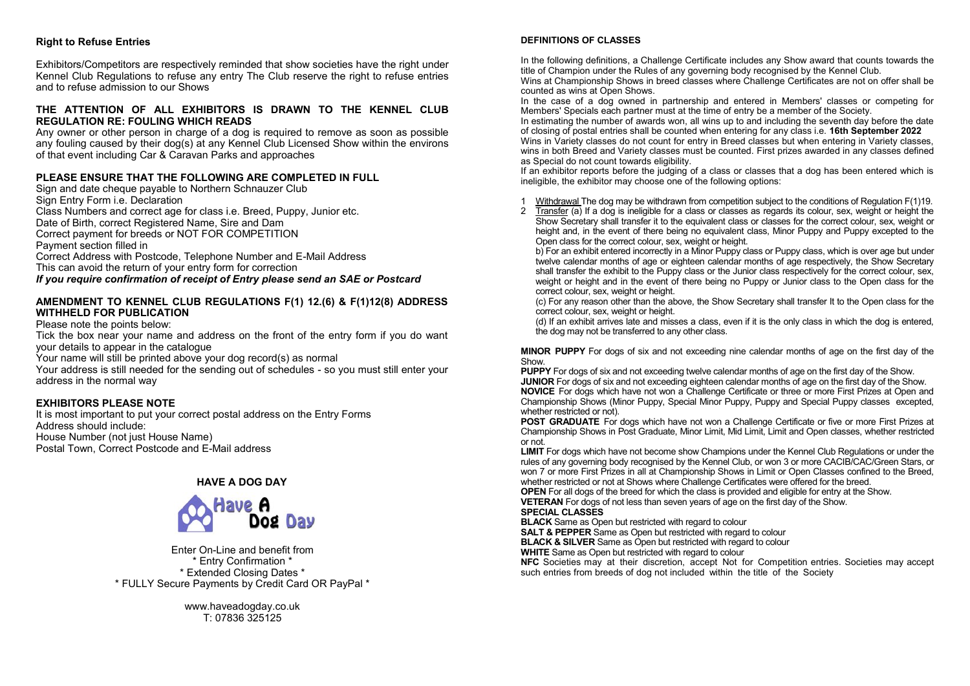### **Right to Refuse Entries**

Exhibitors/Competitors are respectively reminded that show societies have the right under Kennel Club Regulations to refuse any entry The Club reserve the right to refuse entries and to refuse admission to our Shows

### **THE ATTENTION OF ALL EXHIBITORS IS DRAWN TO THE KENNEL CLUB REGULATION RE: FOULING WHICH READS**

Any owner or other person in charge of a dog is required to remove as soon as possible any fouling caused by their dog(s) at any Kennel Club Licensed Show within the environs of that event including Car & Caravan Parks and approaches

### **PLEASE ENSURE THAT THE FOLLOWING ARE COMPLETED IN FULL**

Sign and date cheque payable to Northern Schnauzer Club Sign Entry Form i.e. Declaration Class Numbers and correct age for class i.e. Breed, Puppy, Junior etc. Date of Birth, correct Registered Name, Sire and Dam Correct payment for breeds or NOT FOR COMPETITION Payment section filled in Correct Address with Postcode, Telephone Number and E-Mail Address This can avoid the return of your entry form for correction *If you require confirmation of receipt of Entry please send an SAE or Postcard*

#### **AMENDMENT TO KENNEL CLUB REGULATIONS F(1) 12.(6) & F(1)12(8) ADDRESS WITHHELD FOR PUBLICATION**

Please note the points below:

Tick the box near your name and address on the front of the entry form if you do want your details to appear in the catalogue

Your name will still be printed above your dog record(s) as normal

Your address is still needed for the sending out of schedules - so you must still enter your address in the normal way

## **EXHIBITORS PLEASE NOTE**

It is most important to put your correct postal address on the Entry Forms Address should include: House Number (not just House Name) Postal Town, Correct Postcode and E-Mail address

## **HAVE A DOG DAY**



Enter On-Line and benefit from \* Entry Confirmation \* \* Extended Closing Dates \* \* FULLY Secure Payments by Credit Card OR PayPal \*

> www.haveadogday.co.uk T: 07836 325125

#### **DEFINITIONS OF CLASSES**

In the following definitions, a Challenge Certificate includes any Show award that counts towards the title of Champion under the Rules of any governing body recognised by the Kennel Club.

Wins at Championship Shows in breed classes where Challenge Certificates are not on offer shall be counted as wins at Open Shows.

In the case of a dog owned in partnership and entered in Members' classes or competing for Members' Specials each partner must at the time of entry be a member of the Society.

In estimating the number of awards won, all wins up to and including the seventh day before the date of closing of postal entries shall be counted when entering for any class i.e. **16th September 2022**

Wins in Variety classes do not count for entry in Breed classes but when entering in Variety classes, wins in both Breed and Variety classes must be counted. First prizes awarded in any classes defined as Special do not count towards eligibility.

If an exhibitor reports before the judging of a class or classes that a dog has been entered which is ineligible, the exhibitor may choose one of the following options:

1 Withdrawal The dog may be withdrawn from competition subject to the conditions of Regulation F(1)19.<br>2 Transfer (a) If a dog is ineligible for a class or classes as regards its colour sex weight or beight the

 $\overline{T}$ ransfer (a) If a dog is ineligible for a class or classes as regards its colour, sex, weight or height the Show Secretary shall transfer it to the equivalent class or classes for the correct colour, sex, weight or height and, in the event of there being no equivalent class, Minor Puppy and Puppy excepted to the Open class for the correct colour, sex, weight or height.

b) For an exhibit entered incorrectly in a Minor Puppy class or Puppy class, which is over age but under twelve calendar months of age or eighteen calendar months of age respectively, the Show Secretary shall transfer the exhibit to the Puppy class or the Junior class respectively for the correct colour, sex, weight or height and in the event of there being no Puppy or Junior class to the Open class for the correct colour, sex, weight or height.

(c) For any reason other than the above, the Show Secretary shall transfer It to the Open class for the correct colour, sex, weight or height.

(d) If an exhibit arrives late and misses a class, even if it is the only class in which the dog is entered, the dog may not be transferred to any other class.

**MINOR PUPPY** For dogs of six and not exceeding nine calendar months of age on the first day of the **Show** 

**PUPPY** For dogs of six and not exceeding twelve calendar months of age on the first day of the Show. **JUNIOR** For dogs of six and not exceeding eighteen calendar months of age on the first day of the Show. **NOVICE** For dogs which have not won a Challenge Certificate or three or more First Prizes at Open and Championship Shows (Minor Puppy, Special Minor Puppy, Puppy and Special Puppy classes excepted, whether restricted or not).

**POST GRADUATE** For dogs which have not won a Challenge Certificate or five or more First Prizes at Championship Shows in Post Graduate, Minor Limit, Mid Limit, Limit and Open classes, whether restricted or not.

**LIMIT** For dogs which have not become show Champions under the Kennel Club Regulations or under the rules of any governing body recognised by the Kennel Club, or won 3 or more CACIB/CAC/Green Stars, or won 7 or more First Prizes in all at Championship Shows in Limit or Open Classes confined to the Breed, whether restricted or not at Shows where Challenge Certificates were offered for the breed.

**OPEN** For all dogs of the breed for which the class is provided and eligible for entry at the Show.

**VETERAN** For dogs of not less than seven years of age on the first day of the Show. **SPECIAL CLASSES**

**BLACK** Same as Open but restricted with regard to colour

**SALT & PEPPER** Same as Open but restricted with regard to colour

**BLACK & SILVER** Same as Open but restricted with regard to colour

**WHITE** Same as Open but restricted with regard to colour

**NFC** Societies may at their discretion, accept Not for Competition entries. Societies may accept such entries from breeds of dog not included within the title of the Society